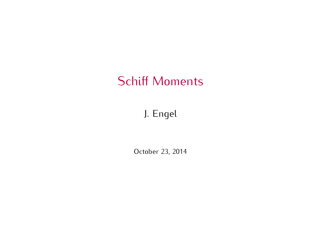# Schiff Moments

#### J. Engel

October 23, 2014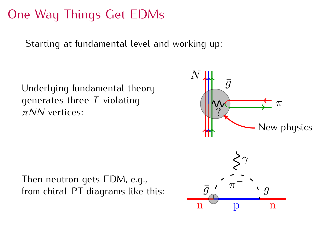## One Way Things Get EDMs

Starting at fundamental level and working up:

Underlying fundamental theory generates three *<sup>T</sup>* -violating *πNN* vertices: Underlying fundamental theory<br>generates three *T*-violating<br> $\pi NN$  vertices:<br>Then neutron gets EDM, e.g.,<br>from chiral-PT diagrams like this:



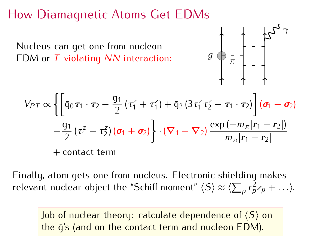# How Diamagnetic Atoms Get EDMs

FOM or *T*-violating *NN* interaction:  $\bar{g} \oplus \frac{1}{\pi}$ 

 $+$  contact term



$$
V_{PT} \propto \left\{ \left[ \bar{g}_0 \tau_1 \cdot \tau_2 - \frac{\bar{g}_1}{2} \left( \tau_1^z + \tau_1^z \right) + \bar{g}_2 \left( 3 \tau_1^z \tau_2^z - \tau_1 \cdot \tau_2 \right) \right] \left( \sigma_1 - \sigma_2 \right) \right\}
$$

$$
- \frac{\bar{g}_1}{2} \left( \tau_1^z - \tau_2^z \right) \left( \sigma_1 + \sigma_2 \right) \cdot \left( \nabla_1 - \nabla_2 \right) \frac{\exp(-m_\pi |r_1 - r_2|)}{m_\pi |r_1 - r_2|}
$$

$$
+ \text{contact term}
$$

relevant nuclear object the "Schiff moment"  $\langle S \rangle \approx \langle \sum_{p} r_{p}^{2} z_{p} + ... \rangle$ .

Job of nuclear theory: calculate dependence of  $\langle S \rangle$  on the  $\bar{q}$ 's (and on the contact term and nucleon EDM).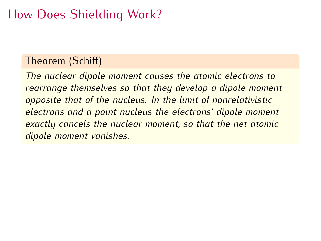# How Does Shielding Work?

 $\frac{1}{T}$   $\frac{1}{T}$   $\frac{1}{T}$   $\frac{1}{T}$ *The nuclear dipole moment causes the atomic electrons to rearrange themselves so that they develop a dipole moment opposite that of the nucleus. In the limit of nonrelativistic electrons and a point nucleus the electrons' dipole moment exactly cancels the nuclear moment, so that the net atomic dipole moment vanishes.*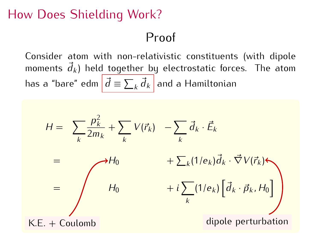# How Does Shielding Work?

## Proof

Consider atom with non-relativistic constituents (with dipole moments  $\vec{d}_k$ ) held together by electrostatic forces. The atom  $\frac{k}{t}$  ) held together by electrostatic forces. The atom has a "bare" edm  $\left| \vec{d} \equiv \sum_{k} \vec{d}_{k} \right|$  and a Hamiltonian

$$
H = \sum_{k} \frac{p_{k}^{2}}{2m_{k}} + \sum_{k} V(\vec{r}_{k}) - \sum_{k} \vec{d}_{k} \cdot \vec{E}_{k}
$$
  
\n
$$
= \int H_{0} + \sum_{k} (1/e_{k}) \vec{d}_{k} \cdot \vec{\nabla} V(\vec{r}_{k})
$$
  
\n
$$
= \int H_{0} + i \sum_{k} (1/e_{k}) \left[ \vec{d}_{k} \cdot \vec{p}_{k}, H_{0} \right]
$$
  
\nK.E. + Coulomb  
\ndipole perturbation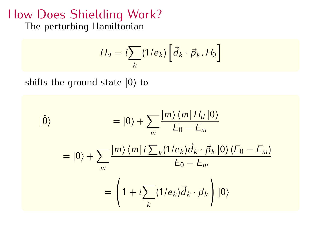# The perturbing Hamiltonian The perturbing Hamiltonian

$$
H_d = i \sum_{k} (1/e_k) \left[ \vec{d}_k \cdot \vec{p}_k, H_0 \right]
$$

shifts the ground state *<sup>|</sup>*0*<sup>i</sup>* to

$$
|\tilde{0}\rangle = |0\rangle + \sum_{m} \frac{|m\rangle\langle m|H_d|0\rangle}{E_0 - E_m}
$$

$$
= |0\rangle + \sum_{m} \frac{|m\rangle\langle m| i \sum_{k} (1/e_k)\vec{d}_k \cdot \vec{p}_k|0\rangle (E_0 - E_m)}{E_0 - E_m}
$$

$$
= \left(1 + i \sum_{k} (1/e_k)\vec{d}_k \cdot \vec{p}_k\right)|0\rangle
$$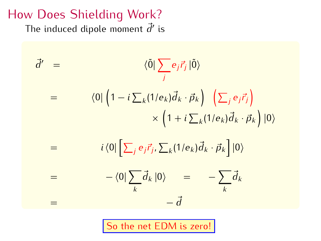The induced dipole moment  $\vec{d}$ <sup>*'*</sup> is

$$
\vec{d}' = \langle \vec{0} | \sum_{j} e_{j} \vec{r}_{j} | \vec{0} \rangle
$$
  
\n
$$
= \langle 0 | \left( 1 - i \sum_{k} (1/e_{k}) \vec{d}_{k} \cdot \vec{p}_{k} \right) \left( \sum_{j} e_{j} \vec{r}_{j} \right)
$$
  
\n
$$
\times \left( 1 + i \sum_{k} (1/e_{k}) \vec{d}_{k} \cdot \vec{p}_{k} \right) | 0 \rangle
$$
  
\n
$$
= \langle 0 | \sum_{j} e_{j} \vec{r}_{j}, \sum_{k} (1/e_{k}) \vec{d}_{k} \cdot \vec{p}_{k} | | 0 \rangle
$$
  
\n
$$
= \langle 0 | \sum_{k} \vec{d}_{k} | 0 \rangle = - \sum_{k} \vec{d}_{k}
$$
  
\n
$$
= \vec{d}
$$

So the net EDM is zero!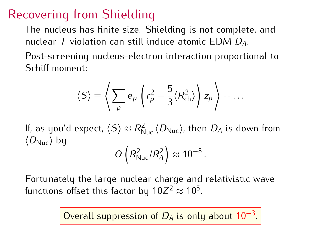Recovering from Shielding<br>The nucleus has finite size. Shielding is not complete, and nuclear *T* violation can still induce atomic EDM *D<sub>A</sub>*.

Post-screening nucleus-electron interaction proportional to Schiff moment:

$$
\langle S \rangle \equiv \left\langle \sum_{p} e_{p} \left( r_{p}^{2} - \frac{5}{3} \langle R_{ch}^{2} \rangle \right) z_{p} \right\rangle + \dots
$$

If, as you'd expect,  $\langle S \rangle \approx R_{\rm Nuc}^2 \langle D_{\rm Nuc} \rangle$ , then  $D_A$  is down from<br>/Dacilibu  $\langle D_{\text{Nuc}} \rangle$  by

$$
O\left(R_{\text{Nuc}}^2/R_A^2\right) \approx 10^{-8}.
$$

functions offset this factor by  $10Z^2 \approx 10^5$ .

Overall suppression of *<sup>D</sup><sup>A</sup>* is only about <sup>10</sup>*−*<sup>3</sup> .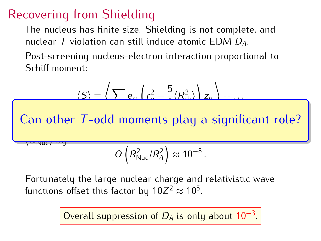Recovering from Shielding<br>The nucleus has finite size. Shielding is not complete, and nuclear *T* violation can still induce atomic EDM *D<sub>A</sub>*.

Post-screening nucleus-electron interaction proportional to Schiff moment:

$$
\langle S \rangle \equiv \left\langle \sum e_n \left( r_n^2 - \frac{5}{2} \langle R_{ch}^2 \rangle \right) z_n \right\rangle + \dots
$$
  
Can other *T*-odd moments play a significant role?  

$$
O\left(R_{\text{Nuc}}^2 / R_A^2\right) \approx 10^{-8}.
$$

functions offset this factor by  $10Z^2 \approx 10^5$ .

Overall suppression of *<sup>D</sup><sup>A</sup>* is only about <sup>10</sup>*−*<sup>3</sup> .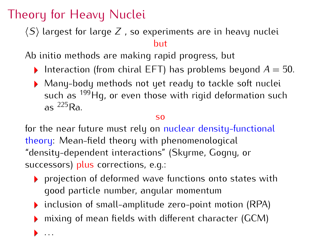$\cdot$  .

Theory for Heavy Nuclei *hSi* largest for large *<sup>Z</sup>* , so experiments are in heavy nuclei

Ab initio methods are making rapid progress, but

- $\mathbf{A} \cdot \mathbf{A} \cdot \mathbf{A} \cdot \mathbf{A} \cdot \mathbf{A} \cdot \mathbf{A} \cdot \mathbf{A} \cdot \mathbf{A} \cdot \mathbf{A} \cdot \mathbf{A} \cdot \mathbf{A} \cdot \mathbf{A} \cdot \mathbf{A} \cdot \mathbf{A} \cdot \mathbf{A} \cdot \mathbf{A} \cdot \mathbf{A} \cdot \mathbf{A} \cdot \mathbf{A} \cdot \mathbf{A} \cdot \mathbf{A} \cdot \mathbf{A} \cdot \mathbf{A} \cdot \mathbf{A} \cdot \mathbf{A} \cdot \mathbf{A} \cdot \mathbf{A} \cdot \mathbf{$ Interaction (from chiral EFT) has problems beyond *<sup>A</sup>* = 50.
	- $\frac{109}{10}$  and  $\frac{109}{10}$  or over these with rigid deformation such as such as 199Hg, or even those with rigid deformation such<br>as <sup>225</sup>Ra as  $^{225}$ Ra.

#### $SO<sub>2</sub>$

for the near future must rely on nuclear density-functional theory: Mean-field theory with phenomenological "density-dependent interactions" (Skyrme, Gogny, or successors) plus corrections, e.q.:

- $\triangleright$  projection of deformed wave functions onto states with qood particle number, angular momentum
- inclusion of small-amplitude zero-point motion (RPA)  $\frac{1}{2}$  inclusion of small-amplitude zero-point motion (RPA)
- $m$  $m$ g of mean fields with different character (GCM)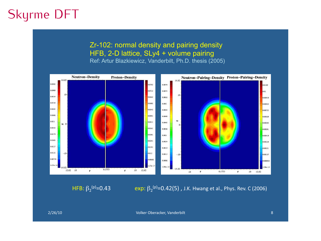## Skyrme DFT

#### Zr-102: normal density and pairing density HFB, 2-D lattice, SLy4 + volume pairing

Ref: Artur Blazkiewicz, Vanderbilt, Ph.D. thesis (2005)



HFB:  $β_2$ <sup>(p)</sup>=0.43



% 2/26/10 Contract the Contract of Contract of Contract of Contract of Contract of Contract of Contract of Contract of Contract of Contract of Contract of Contract of Contract of Contract of Contract of Contract of Contrac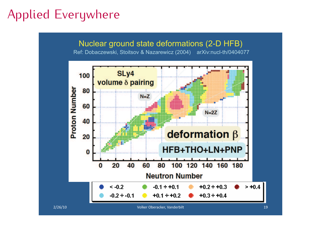## Applied Everywhere

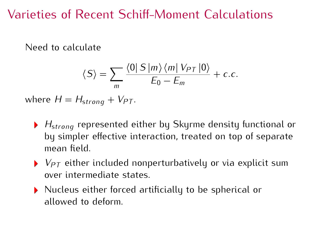#### Varieties of Recent Schiff-Moment Calculations Varieties of Recent Schiff-Moment Calculations

Need to calculate

$$
\langle S \rangle = \sum_{m} \frac{\langle 0 | S | m \rangle \langle m | V_{PT} | 0 \rangle}{E_0 - E_m} + c.c.
$$

where  $H = H_{\text{strona}} + V_{PT}$ .

- *<sup>H</sup>*s*trong* represented either by Skyrme density functional or by simpler effective interaction, treated on top of separate mean field.
- mean field. *<sup>V</sup>PT* either included nonperturbatively or via explicit sum
- $\triangleright$  Nucleus either forced artificially to be spherical or allowed to deform. allowed to deform.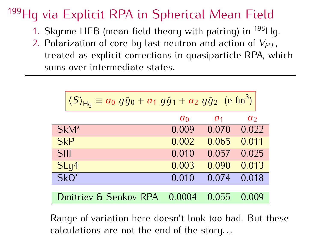# <sup>199</sup>Hg via Explicit RPA in Spherical Mean Field<br>1. Skyrme HFB (mean-field theory with pairing) in <sup>198</sup>Hg.

- 1. Skyrme HFB (mean-field theory with pairing) in 199Hg.<br>2. Polarization of coro by last poutron and action of  $V_{\text{ext}}$ .
- 2. Polarization of core by last neutron and action of  $V_{PT}$ , tractod as evolicit corrections in quasinerticle PPA, wh treated as explicit corrections in quasiparticle RPA, which sums over intermediate states.

| $\langle S \rangle_{\text{Hg}} \equiv a_0 g \bar{g}_0 + a_1 g \bar{g}_1 + a_2 g \bar{g}_2$ (e fm <sup>3</sup> ) |                |                |                |
|-----------------------------------------------------------------------------------------------------------------|----------------|----------------|----------------|
|                                                                                                                 | a <sub>0</sub> | a <sub>1</sub> | a <sub>2</sub> |
| $SkM^*$                                                                                                         | 0.009          | 0.070          | 0.022          |
| <b>SkP</b>                                                                                                      | 0.002          | 0.065          | 0.011          |
| <b>SIII</b>                                                                                                     | 0.010          | 0.057          | 0.025          |
| SLy4                                                                                                            | 0.003          | 0.090          | 0.013          |
| SkO'                                                                                                            | 0.010          | 0.074          | 0.018          |
|                                                                                                                 |                |                |                |
| Dmitriev & Senkov RPA                                                                                           | 0.0004         | 0.055          | 0.009          |
|                                                                                                                 |                |                |                |

range of randmon here doesn't look too bad. But these calculations are not the end of the story...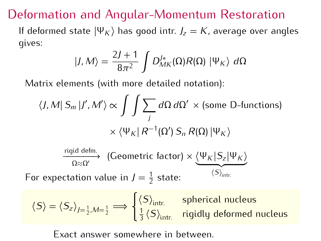$D$  exchanges and Angular-Momentum Restoration If deformed state *<sup>|</sup>*Ψ*<sup>K</sup> <sup>i</sup>* has good intr. *<sup>J</sup><sup>z</sup>* <sup>=</sup> *<sup>K</sup>*, average over angles gives:

$$
|J,M\rangle = \frac{2J+1}{8\pi^2} \int D_{MK}^{J*}(\Omega) R(\Omega) | \Psi_K \rangle d\Omega
$$

Matrix elements (with more detailed notation):

$$
\langle J, M | S_m | J', M' \rangle \propto \int \int \sum_j d\Omega \, d\Omega' \times \text{(some D-functions)}
$$

$$
\times \langle \Psi_K | R^{-1}(\Omega') S_n R(\Omega) | \Psi_K \rangle
$$

$$
\xrightarrow{\text{rigid defm.}} (\text{Geometric factor}) \times \underbrace{\langle \Psi_K | S_z | \Psi_K \rangle}_{\langle S \rangle_{\text{intr.}}}
$$
\nFor expectation value in  $J = \frac{1}{2}$  state:

$$
\langle S \rangle = \langle S_z \rangle_{J=\frac{1}{2},M=\frac{1}{2}} \Longrightarrow \begin{cases} \langle S \rangle_{\text{intr.}} & \text{spherical nucleus} \\ \frac{1}{3} \langle S \rangle_{\text{intr.}} & \text{rigidly deformed nucleus} \end{cases}
$$

 $\overline{a}$ 

Exact answer somewhere in between.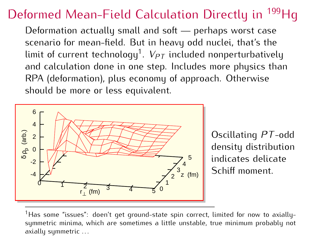# Deformed Mean-Field Calculation Directly in <sup>199</sup>Hg<br>Deformation actually small and soft — perhaps worst case

scenario for mean-field. But in heavy odd nuclei, that's the limit of current technology<sup>1</sup>.  $V_{PT}$  included nonperturbatively and calculation done in one step. Includes more physics than RPA (deformation), plus economy of approach. Otherwise should be more or less equivalent.



Oscillating *PT* -odd indicates delicate Schiff moment. Schiff moment.

 $^1$ Has some "issues": doen't get ground-state spin correct, limited for now to axially-<br>summetric minima, which are sometimes a little unstable, true minimum probably not symmetric minima, which are sometimes a little unstable, true minimum probably not axially symmetric . . .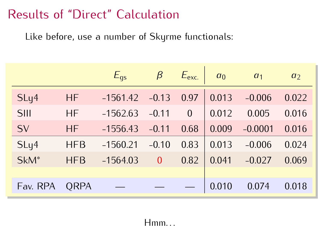Like before, use a number of Skyrme functionals:

|                  |             | $E_{\text{qs}}$ | $\beta$      | $E_{\text{exc.}}$ | a <sub>0</sub> | a <sub>1</sub> | a <sub>2</sub> |
|------------------|-------------|-----------------|--------------|-------------------|----------------|----------------|----------------|
| SLy4             | <b>HF</b>   | $-1561.42$      | $-0.13$      | 0.97              | 0.013          | $-0.006$       | 0.022          |
| <b>SIII</b>      | <b>HF</b>   | $-1562.63$      | $-0.11$      | $\mathbf{0}$      | 0.012          | 0.005          | 0.016          |
| SV               | <b>HF</b>   | $-1556.43$      | $-0.11$      | 0.68              | 0.009          | $-0.0001$      | 0.016          |
| SLy4             | <b>HFB</b>  | $-1560.21$      | $-0.10$      | 0.83              | 0.013          | $-0.006$       | 0.024          |
| SkM <sup>*</sup> | <b>HFB</b>  | $-1564.03$      | $\mathbf{0}$ | 0.82              | 0.041          | $-0.027$       | 0.069          |
|                  |             |                 |              |                   |                |                |                |
| Fav. RPA         | <b>QRPA</b> |                 |              |                   | 0.010          | 0.074          | 0.018          |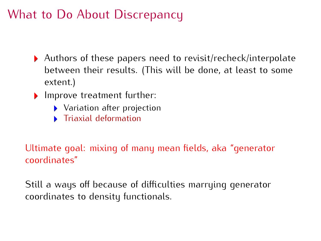# What to Do About Discrepancy

- Authors of these papers need to reveal, constant interpolate between their results. (This will be done, at least to some<br>oxfont.)
- extent.)<br>Improve treatment further:
	- $\blacktriangleright$  Variation after projection
	- Triaxial deformation  $\mathbf{b}$  . Triaxial deformation

## Ultimate goal: mixing of many mean fields, aka "generator coordinates"

Still a ways on because of all reduces marriaging generator coordinates to density functionals.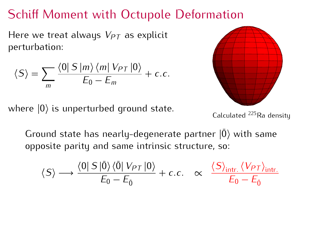# Schiff Moment with Octupole Deformation

Here we treat always *<sup>V</sup>PT* as explicit perturbation:

$$
\langle S \rangle = \sum_{m} \frac{\langle 0 | S | m \rangle \langle m | V_{PT} | 0 \rangle}{E_0 - E_m} + c.c.
$$

where  $|0\rangle$  is unperturbed ground state.



Calculated <sup>225</sup>Ra density

Ground state has nearly-degenerate partner  $|0\rangle$  with same opposite parity and same intrinsic structure, so: opposite parity and same intrinsic structure, so:

$$
\langle S \rangle \longrightarrow \frac{\langle 0 | S | \bar{0} \rangle \langle \bar{0} | V_{PT} | 0 \rangle}{E_0 - E_{\bar{0}}} + c.c. \quad \propto \quad \frac{\langle S \rangle_{\text{intr.}} \langle V_{PT} \rangle_{\text{intr.}}}{E_0 - E_{\bar{0}}}
$$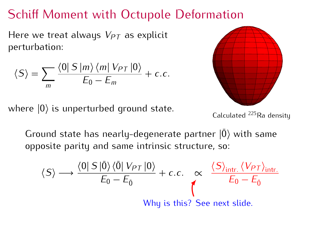## Schiff Moment with Octupole Deformation

Here we treat always *<sup>V</sup>PT* as explicit perturbation:

$$
\langle S \rangle = \sum_{m} \frac{\langle 0 | S | m \rangle \langle m | V_{PT} | 0 \rangle}{E_0 - E_m} + c.c.
$$

where  $|0\rangle$  is unperturbed ground state.



Calculated <sup>225</sup>Ra density

Ground state has nearly-degenerate partner  $|0\rangle$  with same opposite parity and same intrinsic structure, so: opposite parity and same intrinsic structure, so:

$$
\langle S \rangle \longrightarrow \frac{\langle 0 | S | \bar{0} \rangle \langle \bar{0} | V_{PT} | 0 \rangle}{E_0 - E_{\bar{0}}} + c.c. \propto \frac{\langle S \rangle_{\text{intr.}} \langle V_{PT} \rangle_{\text{intr.}}}{E_0 - E_{\bar{0}}}
$$
  
Why is this? See next slide.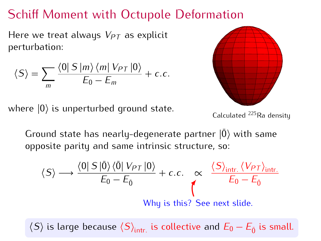# Schiff Moment with Octupole Deformation

Here we treat always *<sup>V</sup>PT* as explicit perturbation:

$$
\langle S \rangle = \sum_{m} \frac{\langle 0 | S | m \rangle \langle m | V_{PT} | 0 \rangle}{E_0 - E_m} + c.c.
$$

where *<sup>|</sup>*0*<sup>i</sup>* is unperturbed ground state.



Calculated <sup>225</sup>Ra density

Ground state has nearly-degenerate partner  $|0\rangle$  with same opposite parity and same intrinsic structure, so: opposite parity and same intrinsic structure, so:

$$
\langle S \rangle \longrightarrow \frac{\langle 0 | S | \bar{0} \rangle \langle \bar{0} | V_{PT} | 0 \rangle}{E_0 - E_{\bar{0}}} + c.c. \propto \frac{\langle S \rangle_{\text{intr.}} \langle V_{PT} \rangle_{\text{intr.}}}{E_0 - E_{\bar{0}}}
$$
  
Why is this? See next slide.

 $\langle S \rangle$  is large because  $\langle S \rangle_{\text{intr.}}$  is collective and  $E_0 - E_{\bar{0}}$  is small.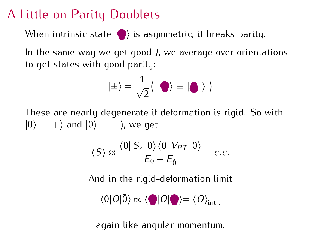# A Little on Parity Doublets

When intrinsic state **(e**) is asymmetric, it breaks parity.

In the same way we get good *<sup>J</sup>*, we average over orientations to get states with good parity:

$$
|\pm\rangle = \frac{1}{\sqrt{2}}(|\bullet\rangle \pm |\bullet\rangle)
$$

 $|0\rangle = |+\rangle$  and  $|\overline{0}\rangle = |-\rangle$ , we get

$$
\langle S \rangle \approx \frac{\langle 0 | S_z | \bar{0} \rangle \langle \bar{0} | V_{PT} | 0 \rangle}{E_0 - E_{\bar{0}}} + c.c.
$$

And in the rigid-deformation limit

$$
\langle 0|O|\bar{0}\rangle \propto \langle \bigcirc |O|\bigcirc \rangle = \langle O \rangle_{\text{intr.}}
$$

again like angular momentum.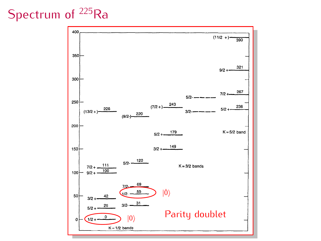# Spectrum of  $^{225}$ Ra

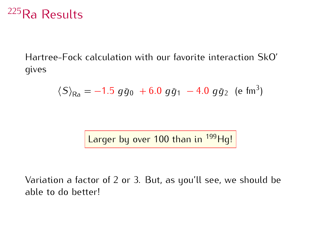## <sup>225</sup>Ra Results

Hartree-Fock calculation with our favorite interaction SkO' gives

$$
\langle S \rangle_{\text{Ra}} = -1.5 \; g\bar{g}_0 \; + 6.0 \; g\bar{g}_1 \; - 4.0 \; g\bar{g}_2 \; \text{(e fm}^3\text{)}
$$

Larger by over 100 than in  $199$  Hg!

Variation a factor of 2 or 3. But, as you'll see, we should be able to do better!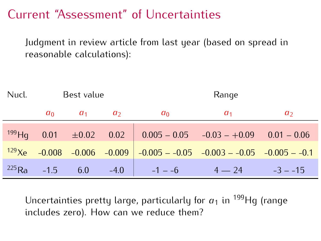#### Current "Assessment" of Uncertainties Current "Assessment" of Uncertainties

Judgment in review article from last year (based on spread in reasonable calculations):

| Best value       |     |                | Range          |                    |                                                                                                                                                                   |  |
|------------------|-----|----------------|----------------|--------------------|-------------------------------------------------------------------------------------------------------------------------------------------------------------------|--|
|                  |     | a <sub>2</sub> | a <sub>0</sub> | a <sub>1</sub>     | a <sub>2</sub>                                                                                                                                                    |  |
|                  |     |                |                |                    |                                                                                                                                                                   |  |
|                  |     |                |                |                    |                                                                                                                                                                   |  |
| $^{225}$ Ra -1.5 | 6.0 |                | $-1 - -6$      | $4 - 24$ $-3 - 15$ |                                                                                                                                                                   |  |
|                  |     | $a_0$ $a_1$    | $-4.0$         |                    | $^{199}$ Hq 0.01 $\pm 0.02$ 0.02 0.005 - 0.05 - 0.03 - +0.09 0.01 - 0.06<br>$129$ Xe $-0.008$ $-0.006$ $-0.009$ $-0.005$ $-0.05$ $-0.003$ $-0.05$ $-0.005$ $-0.1$ |  |

Uncertainties pretty large, particularly for  $a_1$  in <sup>199</sup>Hg (range includes zero). How can we reduce them?  $i$  includes  $z_i$ ,  $j_i$  and  $z_i$  and  $m$  reduce them?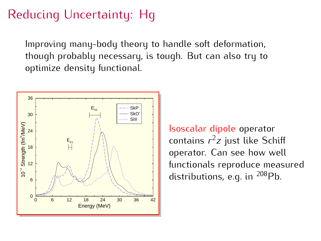# Reducing Uncertainty: Hg

Improving many-body theory to handle soft deformation,<br>though probably necessary, is tough. But can also try to optimize density functional. optimize density functional.



**Isoscalar dipole operator**<br>contains  $r^2z$  just like Schiff operator. Can see how well<br>functionals reproduce measured functionals reproduce measured<br>distributions o.g. in 208Db aistributions, e.g. in <sup>200</sup>Pb.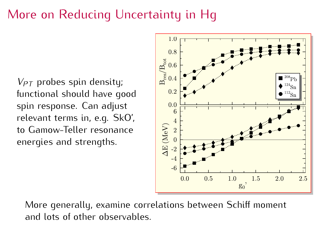### More on Reducing Uncertainty in Hg

 $V_{PT}$  probes spin density;<br>functional should have good spin response. Can adjust relevant terms in, e.g. SkO', to Gamow-Teller resonance energies and strengths. energies and strengths.



More generally, examine correlations between Schiff moment and lots of other observables.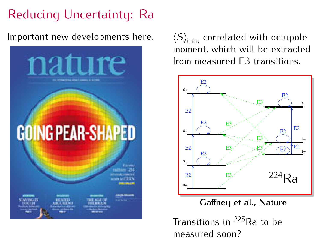# Reducing Uncertainty: Ra



Reducing Uncertainty: Ra<br>Important new developments here.  $\langle S \rangle_{\text{intr.}}$  correlated with octupole<br>memont which will be oxtracted  $\left\langle S \right\rangle_{\text{intr.}}$  correlated with octupole<br>moment, which will be extracted from measured E3 transitions. moment, which will be extracted



**Caffney et al., Nature** 

Transitions in <sup>225</sup>Ra to be<br>measured soon?  $m$  case, see soon.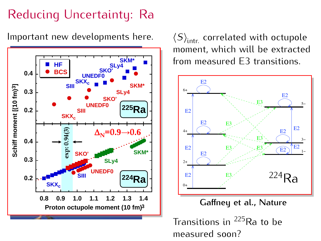# Reducing Uncertainty: Ra

Important new developments here.



 $\left\langle S \right\rangle_{\text{intr.}}$  correlated with octupole<br>moment, which will be extracted from measured E3 transitions. moment, which will be extracted



**Caffney et al., Nature** 

Transitions in  $^{225}$ Ra to be measured soon?  $m$  case, see soon.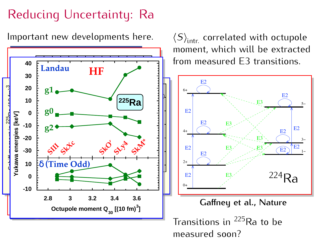## Reducing Uncertainty: Ra

Important new developments here.



 $\left\langle S \right\rangle_{\text{intr.}}$  correlated with octupole<br>moment, which will be extracted from measured E3 transitions. moment, which will be extracted



Transitions in <sup>225</sup>Ra to be<br>measured soon? measured soon?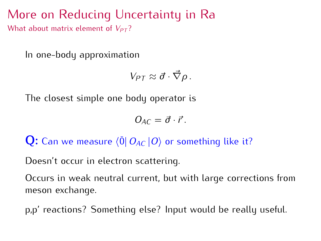$\frac{1}{\sqrt{2}}$  and  $\frac{1}{\sqrt{2}}$  is a more on  $\frac{1}{\sqrt{2}}$  . The contract value is  $\frac{1}{\sqrt{2}}$ What about matrix element of  $V_{PT}$ ?

In one-body approximation

$$
V_{PT}\approx \vec{\sigma}\cdot\vec{\nabla}\rho\,.
$$

The closest simple one body operator is

$$
O_{AC} = \vec{\sigma} \cdot \vec{r}.
$$

**Q:** Can we measure  $\langle \bar{0} | O_{AC} | 0 \rangle$  or something like it?

Doesn't occur in electron scattering.

Occurs in weak neutral current, but with large corrections from meson exchange.

p,p' reactions? Something else? Input would be really useful.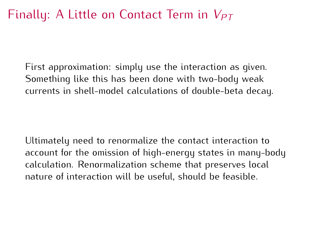## Finally: A Little on Contact Term in *<sup>V</sup>PT*

First approximation: simply use the interaction as given. currents in shell-model calculations of double-beta decay. currents in shell-model calculations of double-beta decay.

Ultimately need to renormalize the contact interaction to calculation. Renormalization scheme that preserves local nature of interaction will be useful, should be feasible. nature of interaction will be useful, should be feasible.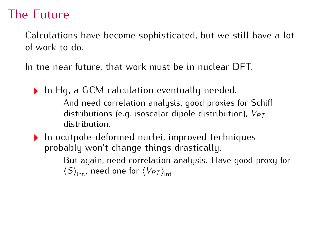### The Future

Calculations have become sophisticated, but we still have a lot

In tne near future, that work must be in nuclear DFT.

- In Hg, a GCM calculation eventually needed.<br>And need correlation analysis, good proxies for Schiff And need correlation analysis, good proxies for Schiff distributions (e.g. isoscalar dipole distribution), *<sup>V</sup>PT*
- $\blacktriangleright$  In ocutpole-deformed nuclei, improved techniques probably won't change things drastically.

But again, need correlation analysis. Have good proxy for  $\langle S \rangle$ <sub>int</sub>, need one for  $\langle V_{PT} \rangle$ <sub>int</sub>.